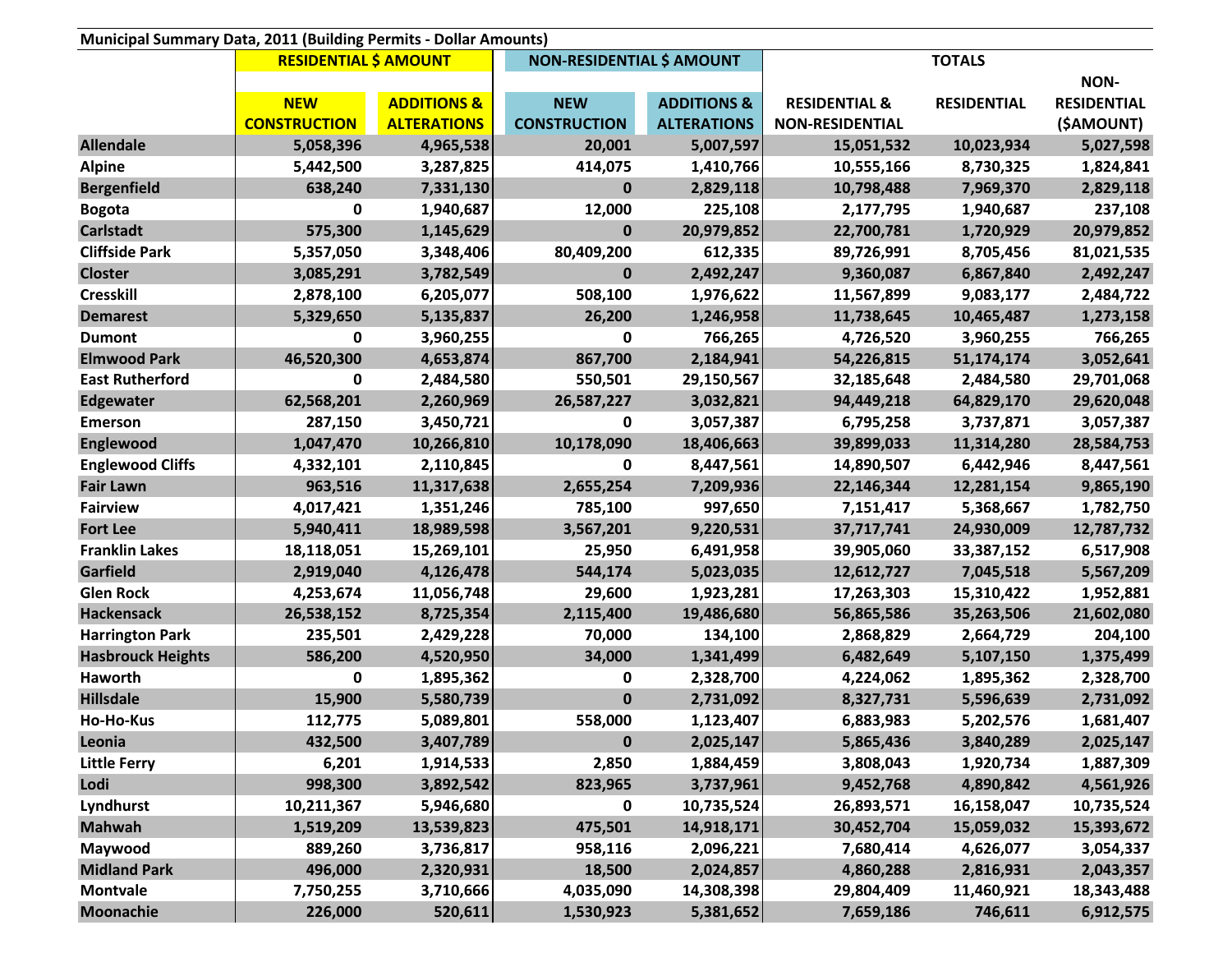| Municipal Summary Data, 2011 (Building Permits - Dollar Amounts) |                              |                        |                                  |                        |                          |                    |                    |
|------------------------------------------------------------------|------------------------------|------------------------|----------------------------------|------------------------|--------------------------|--------------------|--------------------|
|                                                                  | <b>RESIDENTIAL \$ AMOUNT</b> |                        | <b>NON-RESIDENTIAL \$ AMOUNT</b> |                        |                          |                    |                    |
|                                                                  |                              |                        |                                  |                        |                          |                    | NON-               |
|                                                                  | <b>NEW</b>                   | <b>ADDITIONS &amp;</b> | <b>NEW</b>                       | <b>ADDITIONS &amp;</b> | <b>RESIDENTIAL &amp;</b> | <b>RESIDENTIAL</b> | <b>RESIDENTIAL</b> |
|                                                                  | <b>CONSTRUCTION</b>          | <b>ALTERATIONS</b>     | <b>CONSTRUCTION</b>              | <b>ALTERATIONS</b>     | <b>NON-RESIDENTIAL</b>   |                    | (\$AMOUNT)         |
| <b>Allendale</b>                                                 | 5,058,396                    | 4,965,538              | 20,001                           | 5,007,597              | 15,051,532               | 10,023,934         | 5,027,598          |
| <b>Alpine</b>                                                    | 5,442,500                    | 3,287,825              | 414,075                          | 1,410,766              | 10,555,166               | 8,730,325          | 1,824,841          |
| <b>Bergenfield</b>                                               | 638,240                      | 7,331,130              | $\mathbf 0$                      | 2,829,118              | 10,798,488               | 7,969,370          | 2,829,118          |
| <b>Bogota</b>                                                    | 0                            | 1,940,687              | 12,000                           | 225,108                | 2,177,795                | 1,940,687          | 237,108            |
| <b>Carlstadt</b>                                                 | 575,300                      | 1,145,629              | 0                                | 20,979,852             | 22,700,781               | 1,720,929          | 20,979,852         |
| <b>Cliffside Park</b>                                            | 5,357,050                    | 3,348,406              | 80,409,200                       | 612,335                | 89,726,991               | 8,705,456          | 81,021,535         |
| <b>Closter</b>                                                   | 3,085,291                    | 3,782,549              | $\bf{0}$                         | 2,492,247              | 9,360,087                | 6,867,840          | 2,492,247          |
| <b>Cresskill</b>                                                 | 2,878,100                    | 6,205,077              | 508,100                          | 1,976,622              | 11,567,899               | 9,083,177          | 2,484,722          |
| <b>Demarest</b>                                                  | 5,329,650                    | 5,135,837              | 26,200                           | 1,246,958              | 11,738,645               | 10,465,487         | 1,273,158          |
| <b>Dumont</b>                                                    | 0                            | 3,960,255              | 0                                | 766,265                | 4,726,520                | 3,960,255          | 766,265            |
| <b>Elmwood Park</b>                                              | 46,520,300                   | 4,653,874              | 867,700                          | 2,184,941              | 54,226,815               | 51,174,174         | 3,052,641          |
| <b>East Rutherford</b>                                           | 0                            | 2,484,580              | 550,501                          | 29,150,567             | 32,185,648               | 2,484,580          | 29,701,068         |
| <b>Edgewater</b>                                                 | 62,568,201                   | 2,260,969              | 26,587,227                       | 3,032,821              | 94,449,218               | 64,829,170         | 29,620,048         |
| <b>Emerson</b>                                                   | 287,150                      | 3,450,721              | 0                                | 3,057,387              | 6,795,258                | 3,737,871          | 3,057,387          |
| <b>Englewood</b>                                                 | 1,047,470                    | 10,266,810             | 10,178,090                       | 18,406,663             | 39,899,033               | 11,314,280         | 28,584,753         |
| <b>Englewood Cliffs</b>                                          | 4,332,101                    | 2,110,845              | $\mathbf 0$                      | 8,447,561              | 14,890,507               | 6,442,946          | 8,447,561          |
| <b>Fair Lawn</b>                                                 | 963,516                      | 11,317,638             | 2,655,254                        | 7,209,936              | 22,146,344               | 12,281,154         | 9,865,190          |
| <b>Fairview</b>                                                  | 4,017,421                    | 1,351,246              | 785,100                          | 997,650                | 7,151,417                | 5,368,667          | 1,782,750          |
| <b>Fort Lee</b>                                                  | 5,940,411                    | 18,989,598             | 3,567,201                        | 9,220,531              | 37,717,741               | 24,930,009         | 12,787,732         |
| <b>Franklin Lakes</b>                                            | 18,118,051                   | 15,269,101             | 25,950                           | 6,491,958              | 39,905,060               | 33,387,152         | 6,517,908          |
| Garfield                                                         | 2,919,040                    | 4,126,478              | 544,174                          | 5,023,035              | 12,612,727               | 7,045,518          | 5,567,209          |
| <b>Glen Rock</b>                                                 | 4,253,674                    | 11,056,748             | 29,600                           | 1,923,281              | 17,263,303               | 15,310,422         | 1,952,881          |
| <b>Hackensack</b>                                                | 26,538,152                   | 8,725,354              | 2,115,400                        | 19,486,680             | 56,865,586               | 35,263,506         | 21,602,080         |
| <b>Harrington Park</b>                                           | 235,501                      | 2,429,228              | 70,000                           | 134,100                | 2,868,829                | 2,664,729          | 204,100            |
| <b>Hasbrouck Heights</b>                                         | 586,200                      | 4,520,950              | 34,000                           | 1,341,499              | 6,482,649                | 5,107,150          | 1,375,499          |
| Haworth                                                          | 0                            | 1,895,362              | 0                                | 2,328,700              | 4,224,062                | 1,895,362          | 2,328,700          |
| <b>Hillsdale</b>                                                 | 15,900                       | 5,580,739              | $\mathbf 0$                      | 2,731,092              | 8,327,731                | 5,596,639          | 2,731,092          |
| Ho-Ho-Kus                                                        | 112,775                      | 5,089,801              | 558,000                          | 1,123,407              | 6,883,983                | 5,202,576          | 1,681,407          |
| Leonia                                                           | 432,500                      | 3,407,789              | $\pmb{0}$                        | 2,025,147              | 5,865,436                | 3,840,289          | 2,025,147          |
| <b>Little Ferry</b>                                              | 6,201                        | 1,914,533              | 2,850                            | 1,884,459              | 3,808,043                | 1,920,734          | 1,887,309          |
| Lodi                                                             | 998,300                      | 3,892,542              | 823,965                          | 3,737,961              | 9,452,768                | 4,890,842          | 4,561,926          |
| Lyndhurst                                                        | 10,211,367                   | 5,946,680              | 0                                | 10,735,524             | 26,893,571               | 16,158,047         | 10,735,524         |
| <b>Mahwah</b>                                                    | 1,519,209                    | 13,539,823             | 475,501                          | 14,918,171             | 30,452,704               | 15,059,032         | 15,393,672         |
| Maywood                                                          | 889,260                      | 3,736,817              | 958,116                          | 2,096,221              | 7,680,414                | 4,626,077          | 3,054,337          |
| <b>Midland Park</b>                                              | 496,000                      | 2,320,931              | 18,500                           | 2,024,857              | 4,860,288                | 2,816,931          | 2,043,357          |
| <b>Montvale</b>                                                  | 7,750,255                    | 3,710,666              | 4,035,090                        | 14,308,398             | 29,804,409               | 11,460,921         | 18,343,488         |
| <b>Moonachie</b>                                                 | 226,000                      | 520,611                | 1,530,923                        | 5,381,652              | 7,659,186                | 746,611            | 6,912,575          |